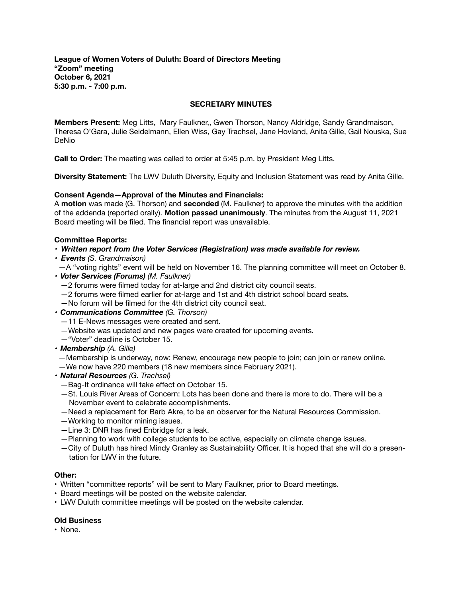**League of Women Voters of Duluth: Board of Directors Meeting "Zoom" meeting October 6, 2021 5:30 p.m. - 7:00 p.m.** 

# **SECRETARY MINUTES**

**Members Present:** Meg Litts, Mary Faulkner,, Gwen Thorson, Nancy Aldridge, Sandy Grandmaison, Theresa O'Gara, Julie Seidelmann, Ellen Wiss, Gay Trachsel, Jane Hovland, Anita Gille, Gail Nouska, Sue DeNio

**Call to Order:** The meeting was called to order at 5:45 p.m. by President Meg Litts.

**Diversity Statement:** The LWV Duluth Diversity, Equity and Inclusion Statement was read by Anita Gille.

# **Consent Agenda—Approval of the Minutes and Financials:**

A **motion** was made (G. Thorson) and **seconded** (M. Faulkner) to approve the minutes with the addition of the addenda (reported orally). **Motion passed unanimously**. The minutes from the August 11, 2021 Board meeting will be filed. The financial report was unavailable.

## **Committee Reports:**

- *• Written report from the Voter Services (Registration) was made available for review.*
- *• Events (S. Grandmaison)*
- —A "voting rights" event will be held on November 16. The planning committee will meet on October 8.
- *• Voter Services (Forums) (M. Faulkner)* 
	- *—*2 forums were filmed today for at-large and 2nd district city council seats.
	- —2 forums were filmed earlier for at-large and 1st and 4th district school board seats.
	- —No forum will be filmed for the 4th district city council seat.
- *• Communications Committee (G. Thorson)* 
	- *—*11 E-News messages were created and sent.
	- —Website was updated and new pages were created for upcoming events.
	- —"Voter" deadline is October 15.
- *• Membership (A. Gille)*
- *—*Membership is underway, now: Renew, encourage new people to join; can join or renew online.
- —We now have 220 members (18 new members since February 2021).
- *• Natural Resources (G. Trachsel)* 
	- *—*Bag-It ordinance will take effect on October 15.
	- —St. Louis River Areas of Concern: Lots has been done and there is more to do. There will be a November event to celebrate accomplishments.
	- —Need a replacement for Barb Akre, to be an observer for the Natural Resources Commission.
	- *—*Working to monitor mining issues.
	- —Line 3: DNR has fined Enbridge for a leak.
	- —Planning to work with college students to be active, especially on climate change issues.
	- —City of Duluth has hired Mindy Granley as Sustainability Officer. It is hoped that she will do a presen tation for LWV in the future.

## **Other:**

- Written "committee reports" will be sent to Mary Faulkner, prior to Board meetings.
- Board meetings will be posted on the website calendar.
- LWV Duluth committee meetings will be posted on the website calendar.

## **Old Business**

• None.